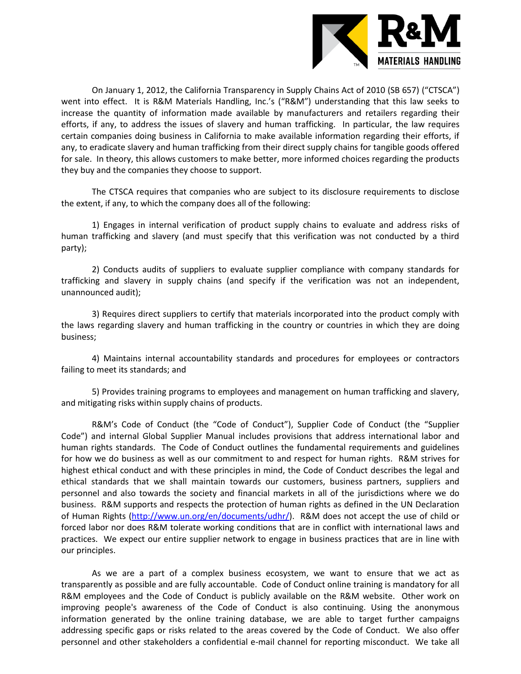

On January 1, 2012, the California Transparency in Supply Chains Act of 2010 (SB 657) ("CTSCA") went into effect. It is R&M Materials Handling, Inc.'s ("R&M") understanding that this law seeks to increase the quantity of information made available by manufacturers and retailers regarding their efforts, if any, to address the issues of slavery and human trafficking. In particular, the law requires certain companies doing business in California to make available information regarding their efforts, if any, to eradicate slavery and human trafficking from their direct supply chains for tangible goods offered for sale. In theory, this allows customers to make better, more informed choices regarding the products they buy and the companies they choose to support.

The CTSCA requires that companies who are subject to its disclosure requirements to disclose the extent, if any, to which the company does all of the following:

1) Engages in internal verification of product supply chains to evaluate and address risks of human trafficking and slavery (and must specify that this verification was not conducted by a third party);

2) Conducts audits of suppliers to evaluate supplier compliance with company standards for trafficking and slavery in supply chains (and specify if the verification was not an independent, unannounced audit);

3) Requires direct suppliers to certify that materials incorporated into the product comply with the laws regarding slavery and human trafficking in the country or countries in which they are doing business;

4) Maintains internal accountability standards and procedures for employees or contractors failing to meet its standards; and

5) Provides training programs to employees and management on human trafficking and slavery, and mitigating risks within supply chains of products.

R&M's Code of Conduct (the "Code of Conduct"), Supplier Code of Conduct (the "Supplier Code") and internal Global Supplier Manual includes provisions that address international labor and human rights standards. The Code of Conduct outlines the fundamental requirements and guidelines for how we do business as well as our commitment to and respect for human rights. R&M strives for highest ethical conduct and with these principles in mind, the Code of Conduct describes the legal and ethical standards that we shall maintain towards our customers, business partners, suppliers and personnel and also towards the society and financial markets in all of the jurisdictions where we do business. R&M supports and respects the protection of human rights as defined in the UN Declaration of Human Rights [\(http://www.un.org/en/documents/udhr/\)](http://www.un.org/en/documents/udhr/). R&M does not accept the use of child or forced labor nor does R&M tolerate working conditions that are in conflict with international laws and practices. We expect our entire supplier network to engage in business practices that are in line with our principles.

As we are a part of a complex business ecosystem, we want to ensure that we act as transparently as possible and are fully accountable. Code of Conduct online training is mandatory for all R&M employees and the Code of Conduct is publicly available on the R&M website. Other work on improving people's awareness of the Code of Conduct is also continuing. Using the anonymous information generated by the online training database, we are able to target further campaigns addressing specific gaps or risks related to the areas covered by the Code of Conduct. We also offer personnel and other stakeholders a confidential e-mail channel for reporting misconduct. We take all